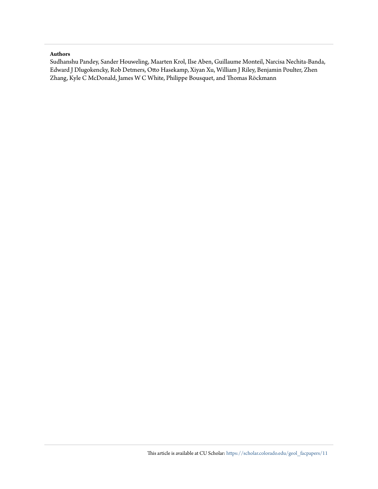#### **Authors**

Sudhanshu Pandey, Sander Houweling, Maarten Krol, Ilse Aben, Guillaume Monteil, Narcisa Nechita-Banda, Edward J Dlugokencky, Rob Detmers, Otto Hasekamp, Xiyan Xu, William J Riley, Benjamin Poulter, Zhen Zhang, Kyle C McDonald, James W C White, Philippe Bousquet, and Thomas Röckmann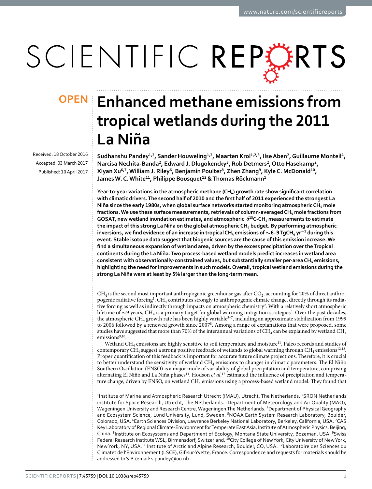# SCIENTIFIC REPERTS

Received: 18 October 2016 accepted: 03 March 2017 Published: 10 April 2017

## **Enhanced methane emissions from OPENtropical wetlands during the 2011 La Niña**

Sudhanshu Pandey<sup>1,2</sup>, Sander Houweling<sup>1,2</sup>, Maarten Krol<sup>1,2,3</sup>, Ilse Aben<sup>2</sup>, Guillaume Monteil<sup>4</sup>, **Narcisa Nechita-Banda<sup>2</sup>, Edward J. Dlugokencky<sup>5</sup>, Rob Detmers<sup>2</sup>, Otto Hasekamp<sup>2</sup>, XiyanXu<sup>6</sup>,<sup>7</sup>, William J. Riley<sup>6</sup>, Benjamin Poulter<sup>8</sup>, ZhenZhang<sup>9</sup>, Kyle C. McDonald<sup>10</sup>, JamesW. C.White<sup>11</sup>, Philippe Bousquet<sup>12</sup> & Thomas Röckmann<sup>1</sup>**

**Year-to-year variations in the atmospheric methane (CH4) growth rate show significant correlation with climatic drivers. The second half of 2010 and the first half of 2011 experienced the strongest La**  Niña since the early 1980s, when global surface networks started monitoring atmospheric CH<sub>4</sub> mole **fractions. We use these surface measurements, retrievals of column-averaged CH4 mole fractions from GOSAT, new wetland inundation estimates, and atmospheric** *δ***<sup>13</sup>C-CH4 measurements to estimate the impact of this strong La Niña on the global atmospheric CH4 budget. By performing atmospheric inversions, we find evidence of an increase in tropical CH<sub>4</sub>** emissions of  $\sim$ 6–9 TgCH<sub>4</sub> yr<sup>-1</sup> during this **event. Stable isotope data suggest that biogenic sources are the cause of this emission increase. We find a simultaneous expansion of wetland area, driven by the excess precipitation over the Tropical continents during the La Niña. Two process-based wetland models predict increases in wetland area consistent with observationally-constrained values, but substantially smaller per-area CH4 emissions, highlighting the need for improvements in such models. Overall, tropical wetland emissions during the strong La Niña were at least by 5% larger than the long-term mean.**

 $CH_4$  is the second most important anthropogenic greenhouse gas after  $CO_2$ , accounting for 20% of direct anthropogenic radiative forcing<sup>1</sup>. CH<sub>4</sub> contributes strongly to anthropogenic climate change, directly through its radiative forcing as well as indirectly through impacts on atmospheric chemistry2 . With a relatively short atmospheric lifetime of ∼9 years, CH<sub>4</sub> is a primary target for global warming mitigation strategies<sup>3</sup>. Over the past decades, the atmospheric CH<sub>4</sub> growth rate has been highly variable<sup>3-7</sup>, including an approximate stabilization from 1999 to 2006 followed by a renewed growth since 20078. Among a range of explanations that were proposed, some studies have suggested that more than 70% of the interannual variations of CH<sub>4</sub> can be explained by wetland CH<sub>4</sub>  $emissions<sup>9,10</sup>$ .

Wetland  $CH_4$  emissions are highly sensitive to soil temperature and moisture<sup>11</sup>. Paleo records and studies of contemporary CH<sub>4</sub> suggest a strong positive feedback of wetlands to global warming through CH<sub>4</sub> emissions<sup>12,13</sup>. Proper quantification of this feedback is important for accurate future climate projections. Therefore, it is crucial to better understand the sensitivity of wetland CH<sub>4</sub> emissions to changes in climatic parameters. The El Niño Southern Oscillation (ENSO) is a major mode of variability of global precipitation and temperature, comprising alternating El Niño and La Niña phases<sup>14</sup>. Hodson *et al.*<sup>15</sup> estimated the influence of precipitation and temperature change, driven by ENSO, on wetland CH<sub>4</sub> emissions using a process-based wetland model. They found that

<sup>1</sup>Institute of Marine and Atmospheric Research Utrecht (IMAU), Utrecht, The Netherlands. <sup>2</sup>SRON Netherlands institute for Space Research, Utrecht, The Netherlands. <sup>3</sup>Department of Meteorology and Air Quality (MAQ), Wageningen University and Research Centre, Wageningen The Netherlands. <sup>4</sup>Department of Physical Geography and Ecosystem Science, Lund University, Lund, Sweden. <sup>5</sup>NOAA Earth System Research Laboratory, Boulder, Colorado, USA. <sup>6</sup>Earth Sciences Division, Lawrence Berkeley National Laboratory, Berkeley, California, USA. <sup>7</sup>CAS Key Laboratory of Regional Climate-Environment for Temperate East Asia, Institute of Atmospheric Physics, Beijing, China. <sup>8</sup>Institute on Ecosystems and Department of Ecology, Montana State University, Bozeman, USA. <sup>9</sup>Swiss Federal Research Institute WSL, Birmensdorf, Switzerland. <sup>10</sup>City College of New York, City University of New York, New York, NY, USA. <sup>11</sup>Institute of Arctic and Alpine Research, Boulder, CO, USA. <sup>12</sup>Laboratoire des Sciences du Climatet de l'Environnement (LSCE), Gif-sur-Yvette, France. Correspondence and requests for materials should be addressed to S.P. (email: [s.pandey@uu.nl\)](mailto:s.pandey@uu.nl)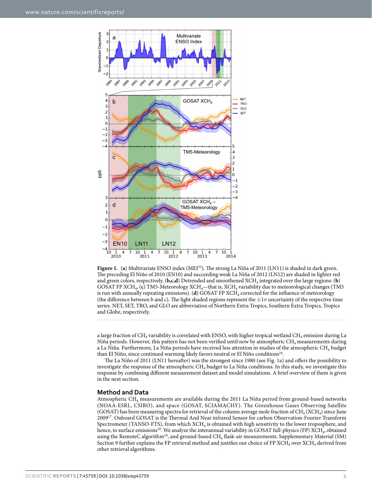

**Figure 1.** (**a**) Multivariate ENSO index (MEI53). The strong La Niña of 2011 (LN11) is shaded in dark green. The preceding El Niño of 2010 (EN10) and succeeding weak La Niña of 2012 (LN12) are shaded in lighter red and green colors, respectively. ( $\mathbf{b}, \mathbf{c}, \mathbf{d}$ ) Detrended and smoothened XCH<sub>4</sub> integrated over the large regions: (**b**) GOSAT FP XCH<sub>4</sub>, (c) TM5-Meteorology XCH<sub>4</sub>—that is, XCH<sub>4</sub> variability due to meteorological changes (TM5 is run with annually repeating emissions). (**d**) GOSAT FP XCH<sub>4</sub> corrected for the influence of meteorology (the difference between b and c). The light shaded regions represent the  $\pm 1\sigma$  uncertainty of the respective time series. NET, SET, TRO, and GLO are abbreviation of Northern Extra Tropics, Southern Extra Tropics, Tropics and Globe, respectively.

a large fraction of CH<sub>4</sub> variability is correlated with ENSO, with higher tropical wetland CH<sub>4</sub> emission during La Niña periods. However, this pattern has not been verified until now by atmospheric CH<sub>4</sub> measurements during a La Niña. Furthermore, La Niña periods have received less attention in studies of the atmospheric CH<sub>4</sub> budget than El Niño, since continued warming likely favors neutral or El Niño conditions<sup>16</sup>.

The La Niño of 2011 (LN11 hereafter) was the strongest since 1980 (see Fig. 1a) and offers the possibility to investigate the response of the atmospheric  $CH_4$  budget to La Niña conditions. In this study, we investigate this response by combining different measurement dataset and model simulations. A brief overview of them is given in the next section.

#### **Method and Data**

Atmospheric CH4 measurements are available during the 2011 La Niña period from ground-based networks (NOAA-ESRL, CSIRO), and space (GOSAT, SCIAMACHY). The Greenhouse Gases Observing Satellite (GOSAT) has been measuring spectra for retrieval of the column average mole fraction of  $CH_4(XCH_4)$  since June 200917. Onboard GOSAT is the Thermal And Near infrared Sensor for carbon Observation-Fourier Transform Spectrometer (TANSO-FTS), from which XCH<sub>4</sub> is obtained with high sensitivity to the lower troposphere, and hence, to surface emissions<sup>18</sup>. We analyze the interannual variability in GOSAT full-physics (FP) XCH<sub>4</sub>, obtained using the RemoteC algorithm<sup>19</sup>, and ground-based CH<sub>4</sub> flask-air measurements. Supplementary Material (SM) Section 9 further explains the FP retrieval method and justifies our choice of FP XCH<sub>4</sub> over  $XCH<sub>4</sub>$  derived from other retrieval algorithms.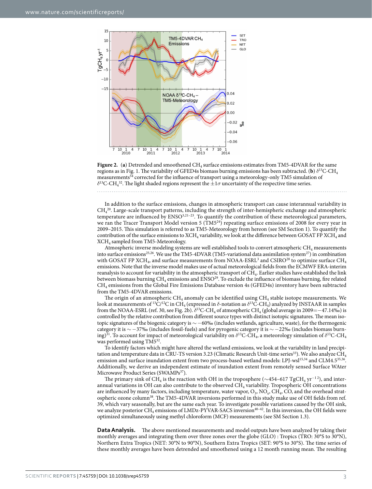



In addition to the surface emissions, changes in atmospheric transport can cause interannual variability in  $CH<sub>4</sub><sup>20</sup>$ . Large-scale transport patterns, including the strength of inter-hemispheric exchange and atmospheric temperature are influenced by ENSO3,21–23. To quantify the contribution of these meteorological parameters, we ran the Tracer Transport Model version 5 (TM5<sup>24</sup>) repeating surface emissions of 2008 for every year in 2009–2015. This simulation is referred to as TM5-Meteorology from hereon (see SM Section 1). To quantify the contribution of the surface emissions to  $XCH_4$  variability, we look at the difference between GOSAT FP  $XCH_4$  and XCH4 sampled from TM5-Meteorology.

Atmospheric inverse modeling systems are well established tools to convert atmospheric CH<sub>4</sub> measurements into surface emissions<sup>25,26</sup>. We use the TM5-4DVAR (TM5-variational data assimilation system<sup>27</sup>) in combination with GOSAT FP XCH<sub>4</sub>, and surface measurements from NOAA-ESRL<sup>3</sup> and CSIRO<sup>28</sup> to optimize surface CH<sub>4</sub> emissions. Note that the inverse model makes use of actual meteorological fields from the ECMWF ERA-interim reanalysis to account for variability in the atmospheric transport of CH4. Earlier studies have established the link between biomass burning CH<sub>4</sub> emissions and ENSO<sup>29</sup>. To exclude the influence of biomass burning, fire related CH4 emissions from the Global Fire Emissions Database version 4s (GFED4s) inventory have been subtracted from the TM5-4DVAR emissions.

The origin of an atmospheric  $CH_4$  anomaly can be identified using  $CH_4$  stable isotope measurements. We look at measurements of 13C/12C in CH4 (expressed in *δ*-notation as *δ*13C-CH4) analyzed by INSTAAR in samples from the NOAA-ESRL (ref. 30, see Fig. 2b). *δ*13C-CH4 of atmospheric CH4 (global average in 2009=−47.14‰) is controlled by the relative contribution from different source types with distinct isotopic signatures. The mean isotopic signatures of the biogenic category is ∼−60‰ (includes wetlands, agriculture, waste), for the thermogenic category it is ∼ −37‰ (includes fossil-fuels) and for pyrogenic category it is ∼ −22‰ (includes biomass burning)<sup>31</sup>. To account for impact of meteorological variability on  $\delta^{13}$ C-CH<sub>4</sub>, a meteorology simulation of  $\delta^{13}$ C-CH<sub>4</sub> was performed using TM5<sup>32</sup>.

To identify factors which might have altered the wetland emissions, we look at the variability in land precipitation and temperature data in CRU-TS version 3.23 (Climatic Research Unit-time series<sup>33</sup>). We also analyze CH<sub>4</sub> emission and surface inundation extent from two process-based wetland models: LPJ-wsl<sup>15,34</sup> and CLM4.5<sup>35,36</sup>. Additionally, we derive an independent estimate of inundation extent from remotely sensed Surface WAter Microwave Product Series (SWAMPs<sup>37</sup>).

The primary sink of CH<sub>4</sub> is the reaction with OH in the troposphere ( $\sim$ 454–617 TgCH<sub>4</sub> yr<sup>−12</sup>), and interannual variations in OH can also contribute to the observed CH4 variability. Tropospheric OH concentrations are influenced by many factors, including temperature, water vapor,  $O_3$ ,  $NO_x$ ,  $CH_4$ ,  $CO$ , and the overhead stratospheric ozone column<sup>38</sup>. The TM5-4DVAR inversions performed in this study make use of OH fields from ref. 39, which vary seasonally, but are the same each year. To investigate possible variations caused by the OH sink, we analyze posterior CH<sub>4</sub> emissions of LMDz-PYVAR-SACS inversion<sup>40-42</sup>. In this inversion, the OH fields were optimized simultaneously using methyl chloroform (MCF) measurements (see SM Section 1.3).

**Data Analysis.** The above mentioned measurements and model outputs have been analyzed by taking their monthly averages and integrating them over three zones over the globe (GLO) : Tropics (TRO: 30°S to 30°N), Northern Extra Tropics (NET: 30°N to 90°N), Southern Extra Tropics (SET: 90°S to 30°S). The time series of these monthly averages have been detrended and smoothened using a 12 month running mean. The resulting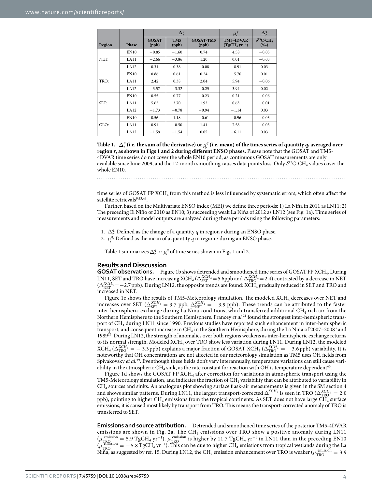|        |             | $\Delta_r^q$          |                          |                           | $\mu_r^q$                  | $\Delta_r^q$                               |
|--------|-------------|-----------------------|--------------------------|---------------------------|----------------------------|--------------------------------------------|
| Region | Phase       | <b>GOSAT</b><br>(ppb) | TM <sub>5</sub><br>(ppb) | <b>GOSAT-TM5</b><br>(ppb) | TM5-4DVAR<br>$(TgCH4yr-1)$ | $\delta^{13}$ C-CH <sub>4</sub><br>$(\%o)$ |
|        | <b>EN10</b> | $-0.85$               | $-1.60$                  | 0.74                      | 4.58                       | $-0.05$                                    |
| NET:   | LA11        | $-2.66$               | $-3.86$                  | 1.20                      | 0.01                       | $-0.03$                                    |
|        | LA12        | 0.31                  | 0.38                     | $-0.08$                   | $-8.91$                    | 0.03                                       |
| TRO:   | <b>EN10</b> | 0.86                  | 0.61                     | 0.24                      | $-5.76$                    | 0.01                                       |
|        | LA11        | 2.42                  | 0.38                     | 2.04                      | 5.94                       | $-0.06$                                    |
|        | LA12        | $-3.57$               | $-3.32$                  | $-0.25$                   | 3.94                       | 0.02                                       |
| SET:   | <b>EN10</b> | 0.55                  | 0.77                     | $-0.23$                   | 0.21                       | $-0.06$                                    |
|        | LA11        | 5.62                  | 3.70                     | 1.92                      | 0.63                       | $-0.01$                                    |
|        | LA12        | $-1.73$               | $-0.78$                  | $-0.94$                   | $-1.14$                    | 0.03                                       |
| GLO:   | <b>EN10</b> | 0.56                  | 1.18                     | $-0.61$                   | $-0.96$                    | $-0.03$                                    |
|        | LA11        | 0.91                  | $-0.50$                  | 1.41                      | 7.58                       | $-0.03$                                    |
|        | LA12        | $-1.59$               | $-1.54$                  | 0.05                      | $-6.11$                    | 0.03                                       |

**Table 1.**  $\Delta^q_r$  (i.e. the sum of the derivative) or  $\mu^q_r$  (i.e. mean) of the times series of quantity *q*, averaged over **region** *r***, as shown in Figs 1 and 2 during different ENSO phases.** Please note that the GOSAT and TM5- 4DVAR time series do not cover the whole EN10 period, as continuous GOSAT measurements are only available since June 2009, and the 12-month smoothing causes data points loss. Only *δ*13C-CH4 values cover the whole EN10.

time series of GOSAT FP XCH<sub>4</sub> from this method is less influenced by systematic errors, which often affect the satellite retrievals<sup>9,43,44</sup>.

Further, based on the Multivariate ENSO index (MEI) we define three periods: 1) La Niña in 2011 as LN11; 2) The preceding El Niño of 2010 as EN10; 3) succeeding weak La Niña of 2012 as LN12 (see Fig. 1a). Time series of measurements and model outputs are analyzed during these periods using the following parameters:

1.  $\Delta_r^q$ : Defined as the change of a quantity *q* in region *r* during an ENSO phase.

2.  $\mu_r^q$ : Defined as the mean of a quantity *q* in region *r* during an ENSO phase.

Table 1 summarizes  $\Delta_r^q$  or  $\mu_r^q$  of time series shown in Figs 1 and 2.

#### **Results and Disscussion**

**GOSAT observations.** Figure 1b shows detrended and smoothened time series of GOSAT FP XCH4. During LN11, SET and TRO have increasing  $XCH_4$  ( $\Delta_{\rm SET}^{XCH_4}$  = 5.6ppb and  $\Delta_{\rm TRO}^{XCH_4}$  = 2.4) contrasted by a decrease in NET (∆<sup>*XCH<sub>4</sub>* = −2.7 ppb). During LN12, the opposite trends are found: XCH<sub>4</sub> gradually reduced in SET and TRO and</sup> increased in NET.

Figure 1c shows the results of TM5-Meteorology simulation. The modeled XCH<sub>4</sub> decreases over NET and increases over SET ( $\Delta_{\text{SET}}^{XCH_4}$  = 3.7 ppb,  $\Delta_{\text{NET}}^{XCH_4}$  = −3.9 ppb). These trends can be attributed to the faster inter-hemispheric exchange during La Niña conditions, which transferred additional CH $_4$  rich air from the Northern Hemisphere to the Southern Hemisphere. Francey *et al.*<sup>21</sup> found the strongest inter-hemispheric transport of CH4 during LN11 since 1990. Previous studies have reported such enhancement in inter-hemispheric transport, and consequent increase in  $\text{CH}_4$  in the Southern Hemisphere, during the La Niña of 2007–2008<sup>3</sup> and 198923. During LN12, the strength of anomalies over both regions weakens as inter-hemispheric exchange returns to its normal strength. Modeled XCH<sub>4</sub> over TRO show less variation during LN11. During LN12, the modeled  $XCH_4(\Delta_{TRO}^{XCH_4} = -3.3 \text{ ppb})$  explains a major fraction of GOSAT  $XCH_4(\Delta_{TRO}^{XCH_4} = -3.6 \text{ ppb})$  variability. It is noteworthy that OH concentrations are not affected in our meteorology simulation as TM5 uses OH fields from Spivakovsky *et al.*39. Eventhough these fields don't vary interannually, temperature variations can still cause variability in the atmospheric  $CH_4$  sink, as the rate constant for reaction with OH is temperature dependent<sup>45</sup>.

Figure 1d shows the GOSAT FP XCH<sub>4</sub> after correction for variations in atmospheric transport using the TM5-Meteorology simulation, and indicates the fraction of CH<sub>4</sub> variability that can be attributed to variability in CH4 sources and sinks. An analogous plot showing surface flask-air measurements is given in the SM section 4 and shows similar patterns. During LN11, the largest transport-corrected  $\Delta^{\text{XCH}_4}_{\text{A}}$  is seen in TRO ( $\Delta^{\text{XCH}_4}_{\text{TRO}} = 2.0$ ppb), pointing to higher CH4 emissions from the tropical continents. As SET does not have large CH4 surface emissions, it is caused most likely by transport from TRO. This means the transport-corrected anomaly of TRO is transferred to SET.

**Emissions and source attribution.** Detrended and smoothened time series of the posterior TM5-4DVAR emissions are shown in Fig. 2a. The CH<sub>4</sub> emissions over TRO show a positive anomaly during LN11  $(\mu_{TRQ_{cusp}}^{emission} = 5.9 \text{ TgCH}_4 \text{ yr}^{-1})$ .  $\mu_{TRQ}^{emission}$  is higher by 11.7 TgCH<sub>4</sub> yr<sup>-1</sup> in LN11 than in the preceding EN10  $(\mu_{TRO}^{emission} = -5.8 \text{ TgCH}_4 \text{ yr}^{-1})$ . This can be due to higher CH<sub>4</sub> emissions from tropical wetlands during the La Niña, as suggested by ref. 15. During LN12, the CH<sub>4</sub> emission enhancement over TRO is weaker ( $\mu_{TRO}^{emission} = 3.9$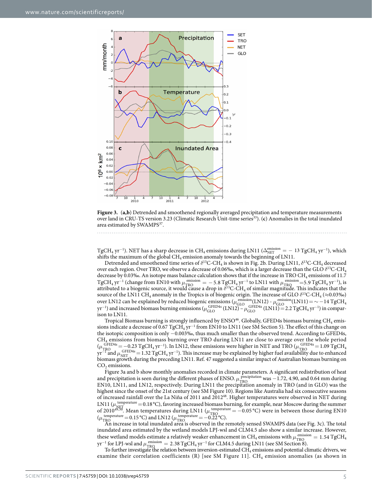

**Figure 3.** (**a,b**) Detrended and smoothened regionally averaged precipitation and temperature measurements over land in CRU-TS version 3.23 (Climatic Research Unit-time series33). (**c**) Anomalies in the total inundated area estimated by SWAMPS<sup>37</sup>.

TgCH<sub>4</sub> yr<sup>−1</sup>). NET has a sharp decrease in CH<sub>4</sub> emissions during LN11 ( $\Delta_{\rm NET}^{\rm emission}$  =  $-$  13 TgCH<sub>4</sub> yr<sup>−1</sup>), which shifts the maximum of the global  $CH_4$  emission anomaly towards the beginning of LN11.

Detrended and smoothened time series of *δ*13C-CH4 is shown in Fig. 2b. During LN11, *δ*13C-CH4 decreased over each region. Over TRO, we observe a decrease of 0.06‰, which is a larger decrease than the GLO *δ*13C-CH4 decrease by 0.03‰. An isotope mass balance calculation shows that if the increase in TRO CH<sub>4</sub> emissions of 11.7 TgCH<sub>4</sub> yr<sup>-1</sup> (change from EN10 with  $\mu_{TRO}^{\text{emission}} = -5.8 \text{ TgCH}_4 \text{ yr}^{-1}$  to LN11 with  $\mu_{TRO}^{\text{emission}} = 5.9 \text{ TgCH}_4 \text{ yr}^{-1}$ ), is attributed to a biogenic source, it would cause a drop in *δ*<sup>13</sup>C-CH<sub>4</sub> of similar magnitude. This indicates that the source of the LN11 CH<sub>4</sub> anomaly in the Tropics is of biogenic origin. The increase of GLO  $\delta^{13}$ C-CH<sub>4</sub> ( $\approx$ 0.03‰) over LN12 can be explained by reduced biogenic emissions ( $\mu_{\text{gLO}}^{\text{emission}}$ (LN12) -  $\mu_{\text{GLO}}^{\text{emission}}$ (LN11) = ∼ −14 TgCH<sub>4</sub> yr<sup>−1</sup>) and increased biomass burning emissions (µ<sub>GLO</sub><sup>GFED4s</sup> (LN12)−µ<sub>GLO</sub><sup>GFED4s</sup> (LN11)= 2.2 TgCH<sub>4</sub> yr<sup>−1</sup>) in comparison to LN11.

Tropical Biomass burning is strongly influenced by  $ENSO<sup>46</sup>$ . Globally, GFED4s biomass burning  $CH<sub>4</sub>$  emissions indicate a decrease of 0.67 TgCH<sub>4</sub> yr<sup>−1</sup> from EN10 to LN11 (see SM Section 5). The effect of this change on the isotopic composition is only −0.003‰, thus much smaller than the observed trend. According to GFED4s, CH4 emissions from biomass burning over TRO during LN11 are close to average over the whole period ( $\mu_{\text{TRO}}^{\text{GFED4s}} = -0.23 \text{ TgCH}_4 \text{ yr}^{-1}$ ). In LN12, these emissions were higher in NET and TRO ( $\mu_{\text{TRO}}^{\text{GFED4s}} = 1.09 \text{ TgCH}_4$ ). This increase may be explained by higher fuel availability due to enhanced  $GFED4s=-0.23$  TgCH<sub>4</sub> yr<sup>-1</sup>). In LN12, these emissions were higher in NET and TRO ( $\mu_{TRO}^{\text{GFED4s}}$  = 1.09 TgCH<sub>4</sub> biomass growth during the preceding LN11. Ref. 47 suggested a similar impact of Australian biomass burning on  $CO<sub>2</sub>$  emissions.

Figure 3a and b show monthly anomalies recorded in climate parameters. A significant redistribution of heat and precipitation is seen during the different phases of ENSO.  $\mu_{\text{TRO}}^{\text{precipitation}}$  was  $-1.72$ , 4.90, and 0.64 mm during EN10, LN11, and LN12, respectively. During LN11 the precipitation anomaly in TRO (and in GLO) was the highest since the onset of the 21st century (see SM Figure 10). Regions like Australia had six consecutive seasons of increased rainfall over the La Niña of 2011 and 201248. Higher temperatures were observed in NET during LN11 ( $\mu_{\text{NEFT}}^{\text{temperature}}$  = 0.18 °C), favoring increased biomass burning, for example, near Moscow during the summer of 2010<sup>49,50</sup>. Mean temperatures during LN11 ( $\mu_{\text{TRO}}^{\text{temperature}} = -0.05 \text{ °C}$ ) were in between those during EN10  $(\mu_{\rm TRO}$ temperature =  $0.15 \text{ °C}$ ) and LN12 ( $\mu_{\text{ TRO}}^{\text{ temperature}}$  =  $-0.22 \text{ °C}$ ).

An increase in total inundated area is observed in the remotely sensed SWAMPS data (see Fig. 3c). The total inundated area estimated by the wetland models LPJ-wsl and CLM4.5 also show a similar increase. However, these wetland models estimate a relatively weaker enhancement in CH<sub>4</sub> emissions with  $\mu_{\text{TRO}}^{\text{emission}} = 1.54 \text{ TgCH}_4$  $yr^{-1}$  for LPJ-wsl and  $\mu_{TRQ}^{emission} = 2.38$  TgCH<sub>4</sub> yr<sup>-1</sup> for CLM4.5 during LN11 (see SM Section 8).

To further investigate the relation between inversion-estimated CH4 emissions and potential climatic drivers, we examine their correlation coefficients (R) [see SM Figure 11].  $CH_4$  emission anomalies (as shown in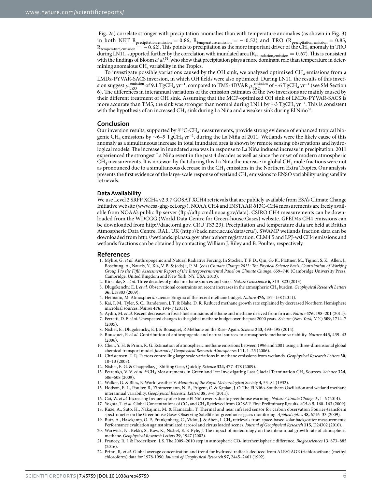Fig. 2a) correlate stronger with precipitation anomalies than with temperature anomalies (as shown in Fig. 3) in both NET  $R_{\text{precipitation,emission}} = 0.86$ ,  $R_{\text{temperature,emission}} = -0.52$ ) and TRO ( $R_{\text{precipitation,emission}} = 0.85$ ,  $R_{temperature, emission} = -0.62$ ). This points to precipitation as the more important driver of the  $CH_4$  anomaly in TRO during LN11, supported further by the correlation with inundated area ( $R_{\text{inundation,emission}} = 0.67$ ). This is consistent with the findings of Bloom *et al.*<sup>51</sup>, who show that precipitation plays a more dominant role than temperature in determining anomalous  $CH<sub>4</sub>$  variability in the Tropics.

To investigate possible variations caused by the OH sink, we analyzed optimized CH<sub>4</sub> emissions from a LMDz-PYVAR-SACS inversion, in which OH fields were also optimized. During LN11, the results of this inversion suggest *μ*<sup>emission</sup> of 9.1 TgCH<sub>4</sub> yr<sup>-1</sup>, compared to TM5-4DVAR  $\mu_{\text{TRQ}}^{\text{emission}}$  of ∼6 TgCH<sub>4</sub> yr<sup>-1</sup> (see SM Section 6). The differences in interannual variations of the emission estimates of the two inversions are mainly caused by their different treatment of OH sink. Assuming that the MCF-optimized OH sink of LMDz-PYVAR-SACS is more accurate than TM5, the sink was stronger than normal during LN11 by  $\sim$ 3 TgCH<sub>4</sub> yr<sup>−1</sup>. This is consistent with the hypothesis of an increased CH<sub>4</sub> sink during La Niña and a weaker sink during El Niño<sup>52</sup>.

#### **Conclusion**

Our inversion results, supported by *δ*13C-CH4 measurements, provide strong evidence of enhanced tropical biogenic CH<sub>4</sub> emissions by ∼6–9 TgCH<sub>4</sub> yr<sup>−1</sup>, during the La Niña of 2011. Wetlands were the likely cause of this anomaly as a simultaneous increase in total inundated area is shown by remote sensing observations and hydrological models. The increase in inundated area was in response to La Niña induced increase in precipitation. 2011 experienced the strongest La Niña event in the past 4 decades as well as since the onset of modern atmospheric  $CH_4$  measurements. It is noteworthy that during this La Niña the increase in global  $CH_4$  mole fractions were not as pronounced due to a simultaneous decrease in the CH<sub>4</sub> emissions in the Northern Extra Tropics. Our analysis presents the first evidence of the large-scale response of wetland CH4 emissions to ENSO variability using satellite retrievals.

#### **Data Availability**

We use Level 2 SRFP XCH4 v2.3.7 GOSAT XCH4 retrievals that are publicly available from ESA's Climate Change Initiative website ([www.esa-ghg-cci.org/\)](http://www.esa-ghg-cci.org/). NOAA CH4 and INSTAAR δ13C-CH4 measurements are freely available from NOAA's public ftp server (<ftp://aftp.cmdl.noaa.gov/data>). CSIRO CH4 measurements can be downloaded from the WDCGG (World Data Centre for Green-house Gases) website. GFED4s CH4 emissions can be downloaded from [http://daac.ornl.gov.](http://daac.ornl.gov) CRU TS3.23). Precipitation and temperature data are held at British Atmospheric Data Centre, RAL, UK (<http://badc.nerc.ac.uk/data/cru/>). SWAMP wetlands fraction data can be downloaded from<http://wetlands.jpl.nasa.gov> after a short registration. CLM4.5 and LPJ-wsl CH4 emissions and wetlands fractions can be obtained by contacting William J. Riley and B. Poulter, respectively.

#### **References**

- 1. Myhre, G. *et al.* Anthropogenic and Natural Radiative Forcing. In Stocker, T. F. D., Qin, G.-K., Plattner, M., Tignor, S. K., Allen, J., Boschung, A., Nauels, Y., Xia, V. B. & (eds)]., P. M. (eds) *Climate Change 2013: The Physical Science Basis. Contribution of Working Group I to the Fifth Assessment Report of the Intergovernmental Panel on Climate Change*, 659–740 (Cambridge University Press, Cambridge, United Kingdom and New York, NY, USA, 2013).
- 2. Kirschke, S. *et al.* Three decades of global methane sources and sinks. *Nature Geoscience* **6,** 813–823 (2013).
- 3. Dlugokencky, E. J. *et al.* Observational constraints on recent increases in the atmospheric CH4 burden. *Geophysical Research Letters* **36,** L18803 (2009).
- 4. Heimann, M. Atmospheric science: Enigma of the recent methane budget. *Nature* **476,** 157–158 (2011).
- 5. Kai, F. M., Tyler, S. C., Randerson, J. T. & Blake, D. R. Reduced methane growth rate explained by decreased Northern Hemisphere microbial sources. *Nature* **476,** 194–7 (2011).
- 6. Aydin, M. *et al.* Recent decreases in fossil-fuel emissions of ethane and methane derived from firn air. *Nature* **476,** 198–201 (2011). 7. Ferretti, D. F. *et al.* Unexpected changes to the global methane budget over the past 2000 years. *Science* (*New York, N.Y.*) **309,** 1714–7
- (2005).
- 8. Nisbet, E., Dlugokencky, E. J. & Bousquet, P. Methane on the Rise–Again. *Science* **343,** 493–495 (2014).
- 9. Bousquet, P. *et al.* Contribution of anthropogenic and natural sources to atmospheric methane variability. *Nature* **443,** 439–43 (2006).
- 10. Chen, Y. H. & Prinn, R. G. Estimation of atmospheric methane emissions between 1996 and 2001 using a three-dimensional global chemical transport model. *Journal of Geophysical Research Atmospheres* **111,** 1–25 (2006).
- 11. Christensen, T. R. Factors controlling large scale variations in methane emissions from wetlands. *Geophysical Research Letters* **30,** 10–13 (2003).
- 12. Nisbet, E. G. & Chappellaz, J. Shifting Gear, Quickly. *Science* **324,** 477–478 (2009).
- 13. Petrenko, V. V. *et al.* 14CH4 Measurements in Greenland Ice: Investigating Last Glacial Termination CH4 Sources. *Science* **324,** 506–508 (2009).
- 14. Walker, G. & Bliss, E. World weather V. *Memoirs of the Royal Meteorological Society* **4,** 53–84 (1932).
- 15. Hodson, E. L., Poulter, B., Zimmermann, N. E., Prigent, C. & Kaplan, J. O. The El Niño-Southern Oscillation and wetland methane interannual variability. *Geophysical Research Letters* **38,** 3–6 (2011).
- 16. Cai, W. *et al.* Increasing frequency of extreme El Niño events due to greenhouse warming. *Nature Climate Change* **5,** 1–6 (2014).
- 17. Yokota, T. *et al.* Global Concentrations of CO2 and CH4 Retrieved from GOSAT: First Preliminary Results. *SOLA* **5,** 160–163 (2009). 18. Kuze, A., Suto, H., Nakajima, M. & Hamazaki, T. Thermal and near infrared sensor for carbon observation Fourier-transform spectrometer on the Greenhouse Gases Observing Satellite for greenhouse gases monitoring. *Applied optics* **48,** 6716–33 (2009).
- 19. Butz, A., Hasekamp, O. P., Frankenberg, C., Vidot, J. & Aben, I. CH<sub>4</sub> retrievals from space-based solar backscatter measurements: Performance evaluation against simulated aerosol and cirrus loaded scenes. *Journal of Geophysical Research* **115,** D24302 (2010).
- 20. Warwick, N., Bekki, S., Kaw, K., Nisbet, E. & Pyle, J. The impact of meteorology on the interannual growth rate of atmospheric methane. *Geophysical Research Letters* **29,** 1947 (2002).
- 21. Francey, R. J. & Frederiksen, J. S. The 2009–2010 step in atmospheric CO2 interhemispheric difference. *Biogeosciences* **13,** 873–885  $(2016)$
- 22. Prinn, R. *et al.* Global average concentration and trend for hydroxyl radicals deduced from ALE/GAGE trichloroethane (methyl chloroform) data for 1978-1990. *Journal of Geophysical Research* **97,** 2445–2461 (1992).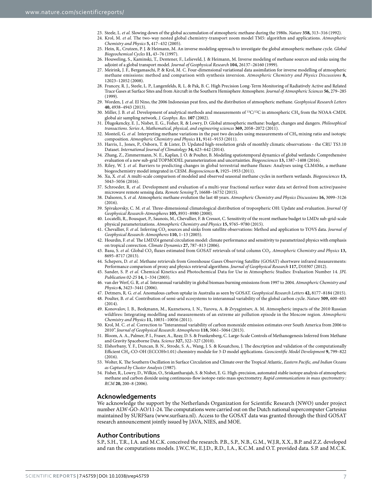- 23. Steele, L. *et al.* Slowing down of the global accumulation of atmospheric methane during the 1980s. *Nature* **358,** 313–316 (1992).
- 24. Krol, M. *et al.* The two-way nested global chemistry-transport zoom model TM5: algorithm and applications. *Atmospheric Chemistry and Physics* **5,** 417–432 (2005).
- 25. Hein, R., Crutzen, P. J. & Heimann, M. An inverse modeling approach to investigate the global atmospheric methane cycle. *Global Biogeochemical Cycles* **11,** 43–76 (1997).
- 26. Houweling, S., Kaminski, T., Dentener, F., Lelieveld, J. & Heimann, M. Inverse modeling of methane sources and sinks using the adjoint of a global transport model. *Journal of Geophysical Research* **104,** 26137–26160 (1999).
- 27. Meirink, J. F., Bergamaschi, P. & Krol, M. C. Four-dimensional variational data assimilation for inverse modelling of atmospheric methane emissions: method and comparison with synthesis inversion. *Atmospheric Chemistry and Physics Discussions* **8,** 12023–12052 (2008).
- 28. Francey, R. J., Steele, L. P., Langenfelds, R. L. & Pak, B. C. High Precision Long-Term Monitoring of Radiatively Active and Related Trace Gases at Surface Sites and from Aircraft in the Southern Hemisphere Atmosphere. *Journal of Atmospheric Sciences* **56,** 279–285 (1999).
- 29. Worden, J. *et al.* El Nino, the 2006 Indonesian peat fires, and the distribution of atmospheric methane. *Geophysical Research Letters* **40,** 4938–4943 (2013).
- 30. Miller, J. B. *et al.* Development of analytical methods and measurements of 13C/12C in atmospheric CH4 from the NOAA-CMDL global air sampling network. *J. Geophys. Res*. **107** (2002).
- 31. Dlugokencky, E. J., Nisbet, E. G., Fisher, R. & Lowry, D. Global atmospheric methane: budget, changes and dangers. *Philosophical transactions*. *Series A, Mathematical, physical, and engineering sciences* **369,** 2058–2072 (2011).
- 32. Monteil, G. *et al.* Interpreting methane variations in the past two decades using measurements of CH4 mixing ratio and isotopic composition. *Atmospheric Chemistry and Physics* **11,** 9141–9153 (2011).
- 33. Harris, I., Jones, P., Osborn, T. & Lister, D. Updated high-resolution grids of monthly climatic observations the CRU TS3.10 Dataset. *International Journal of Climatology* **34,** 623–642 (2014).
- 34. Zhang, Z., Zimmermann, N. E., Kaplan, J. O. & Poulter, B. Modeling spatiotemporal dynamics of global wetlands: Comprehensive evaluation of a new sub-grid TOPMODEL parameterization and uncertainties. *Biogeosciences* **13,** 1387–1408 (2016).
- 35. Riley, W. J. *et al.* Barriers to predicting changes in global terrestrial methane fluxes: Analyses using CLM4Me, a methane biogeochemistry model integrated in CESM. *Biogeosciences* **8,** 1925–1953 (2011).
- 36. Xu, X. *et al.* A multi-scale comparison of modeled and observed seasonal methane cycles in northern wetlands. *Biogeosciences* **13,** 5043–5056 (2016).
- 37. Schroeder, R. *et al.* Development and evaluation of a multi-year fractional surface water data set derived from active/passive microwave remote sensing data. *Remote Sensing* **7,** 16688–16732 (2015).
- 38. Dalsoren, S. *et al.* Atmospheric methane evolution the last 40 years. *Atmospheric Chemistry and Physics Discussions* **16,** 3099–3126 (2016).
- 39. Spivakovsky, C. M. *et al.* Three-dimensional climatological distribution of tropospheric OH: Update and evaluation. *Journal Of Geophysical Research-Atmospheres* **105,** 8931–8980 (2000).
- 40. Locatelli, R., Bousquet, P., Saunois, M., Chevallier, F. & Cressot, C. Sensitivity of the recent methane budget to LMDz sub-grid-scale physical parameterizations. *Atmospheric Chemistry and Physics* **15,** 9765–9780 (2015).
- 41. Chevallier, F. et al. Inferring CO<sub>2</sub> sources and sinks from satellite observations: Method and application to TOVS data. *Journal of Geophysical Research: Atmospheres* **110,** 1–13 (2005).
- 42. Hourdin, F. *et al.* The LMDZ4 general circulation model: climate performance and sensitivity to parametrized physics with emphasis on tropical convection. *Climate Dynamics* **27,** 787–813 (2006).
- 43. Basu, S. *et al.* Global CO2 fluxes estimated from GOSAT retrievals of total column CO2. *Atmospheric Chemistry and Physics* **13,** 8695–8717 (2013).
- 44. Schepers, D. *et al.* Methane retrievals from Greenhouse Gases Observing Satellite (GOSAT) shortwave infrared measurements: Performance comparison of proxy and physics retrieval algorithms. *Journal of Geophysical Research* **117,** D10307 (2012).
- 45. Sander, S. P. *et al.* Chemical Kinetics and Photochemical Data for Use in Atmospheric Studies: Evaluation Number 14. *JPL Publication 02-25* **14,** 1–334 (2003).
- 46. van der Werf, G. R. *et al.* Interannual variability in global biomass burning emissions from 1997 to 2004. *Atmospheric Chemistry and Physics* **6,** 3423–3441 (2006).
- 47. Detmers, R. G. *et al.* Anomalous carbon uptake in Australia as seen by GOSAT. *Geophysical Research Letters* **42,** 8177–8184 (2015).
- 48. Poulter, B. *et al.* Contribution of semi-arid ecosystems to interannual variability of the global carbon cycle. *Nature* **509,** 600–603  $(2014)$
- 49. Konovalov, I. B., Beekmann, M., Kuznetsova, I. N., Yurova, A. & Zvyagintsev, A. M. Atmospheric impacts of the 2010 Russian wildfires: Integrating modelling and measurements of an extreme air pollution episode in the Moscow region. *Atmospheric Chemistry and Physics* **11,** 10031–10056 (2011).
- 50. Krol, M. C. *et al.* Correction to "Interannual variability of carbon monoxide emission estimates over South America from 2006 to 2010". *Journal of Geophysical Research: Atmospheres* **118,** 5061–5064 (2013).
- 51. Bloom, A. A., Palmer, P. I., Fraser, A., Reay, D. S. & Frankenberg, C. Large-Scale Controls of Methanogenesis Inferred from Methane and Gravity Spaceborne Data. *Science* **327,** 322–327 (2010).
- 52. Elshorbany, Y. F., Duncan, B. N., Strode, S. A., Wang, J. S. & Kouatchou, J. The description and validation of the computationally Efficient CH4-CO-OH (ECCOHv1.01) chemistry module for 3-D model applications. *Geoscientific Model Development* **9,** 799–822 (2016).
- 53. Wolter, K. The Southern Oscillation in Surface Circulation and Climate over the Tropical Atlantic, *Eastern Pacific, and Indian Oceans as Captured by Cluster Analysis* (1987).
- 54. Fisher, R., Lowry, D., Wilkin, O., Sriskantharajah, S. & Nisbet, E. G. High-precision, automated stable isotope analysis of atmospheric methane and carbon dioxide using continuous-flow isotope-ratio mass spectrometry. *Rapid communications in mass spectrometry : RCM* **20,** 200–8 (2006).

#### **Acknowledgements**

We acknowledge the support by the Netherlands Organization for Scientific Research (NWO) under project number ALW-GO-AO/11-24. The computations were carried out on the Dutch national supercomputer Cartesius maintained by SURFSara ([www.surfsara.nl](http://www.surfsara.nl)). Access to the GOSAT data was granted through the third GOSAT research announcement jointly issued by JAVA, NIES, and MOE.

#### **Author Contributions**

S.P., S.H., T.R., I.A. and M.C.K. conceived the research. P.B., S.P., N.B., G.M., W.J.R, X.X., B.P. and Z.Z. developed and ran the computations models. J.W.C.W., E.J.D., R.D., I.A., K.C.M. and O.T. provided data. S.P. and M.C.K.